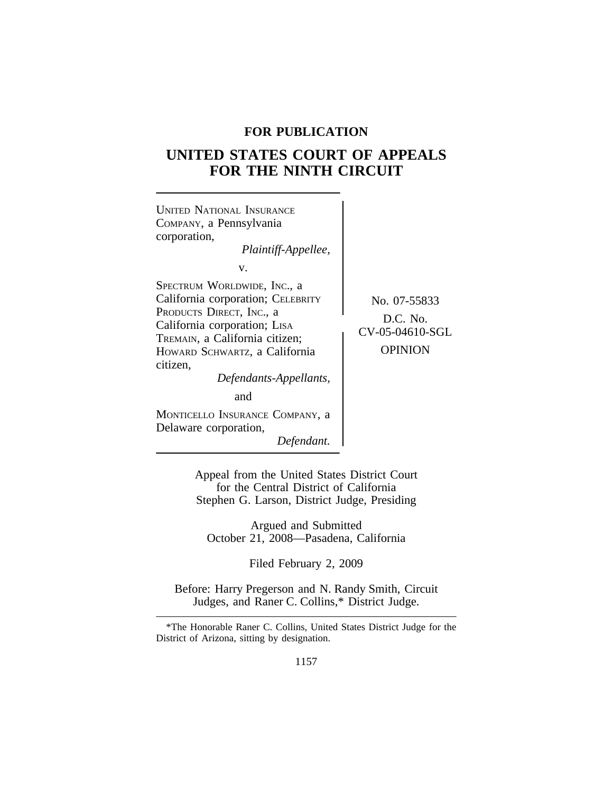# **FOR PUBLICATION**

# **UNITED STATES COURT OF APPEALS FOR THE NINTH CIRCUIT**



Appeal from the United States District Court for the Central District of California Stephen G. Larson, District Judge, Presiding

Argued and Submitted October 21, 2008—Pasadena, California

Filed February 2, 2009

Before: Harry Pregerson and N. Randy Smith, Circuit Judges, and Raner C. Collins,\* District Judge.

<sup>\*</sup>The Honorable Raner C. Collins, United States District Judge for the District of Arizona, sitting by designation.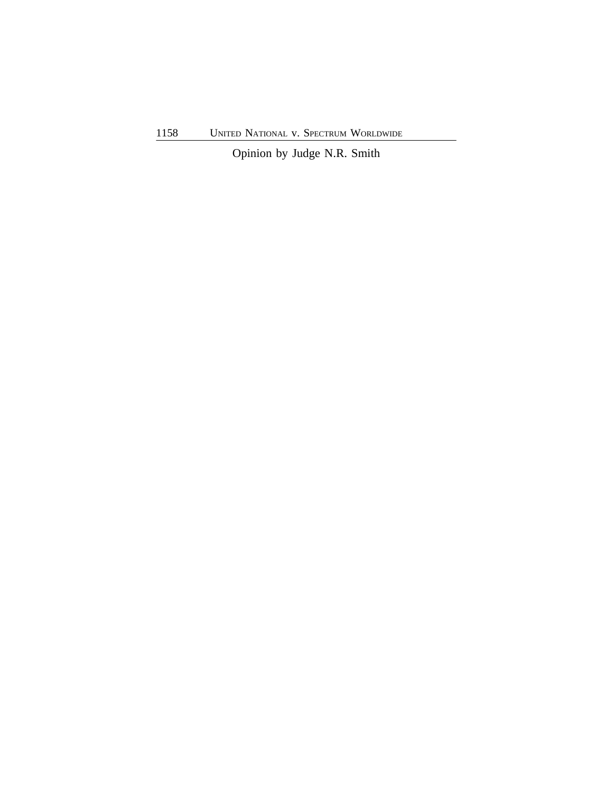Opinion by Judge N.R. Smith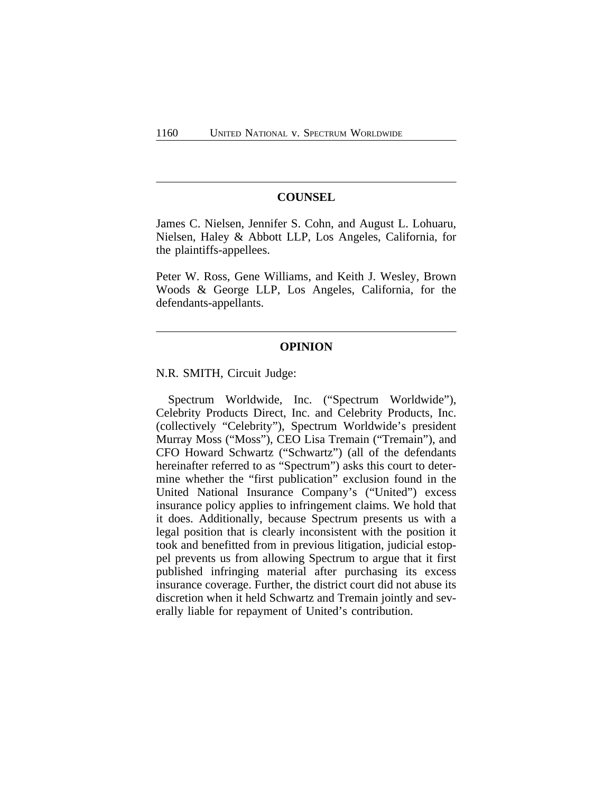#### **COUNSEL**

James C. Nielsen, Jennifer S. Cohn, and August L. Lohuaru, Nielsen, Haley & Abbott LLP, Los Angeles, California, for the plaintiffs-appellees.

Peter W. Ross, Gene Williams, and Keith J. Wesley, Brown Woods & George LLP, Los Angeles, California, for the defendants-appellants.

# **OPINION**

N.R. SMITH, Circuit Judge:

Spectrum Worldwide, Inc. ("Spectrum Worldwide"), Celebrity Products Direct, Inc. and Celebrity Products, Inc. (collectively "Celebrity"), Spectrum Worldwide's president Murray Moss ("Moss"), CEO Lisa Tremain ("Tremain"), and CFO Howard Schwartz ("Schwartz") (all of the defendants hereinafter referred to as "Spectrum") asks this court to determine whether the "first publication" exclusion found in the United National Insurance Company's ("United") excess insurance policy applies to infringement claims. We hold that it does. Additionally, because Spectrum presents us with a legal position that is clearly inconsistent with the position it took and benefitted from in previous litigation, judicial estoppel prevents us from allowing Spectrum to argue that it first published infringing material after purchasing its excess insurance coverage. Further, the district court did not abuse its discretion when it held Schwartz and Tremain jointly and severally liable for repayment of United's contribution.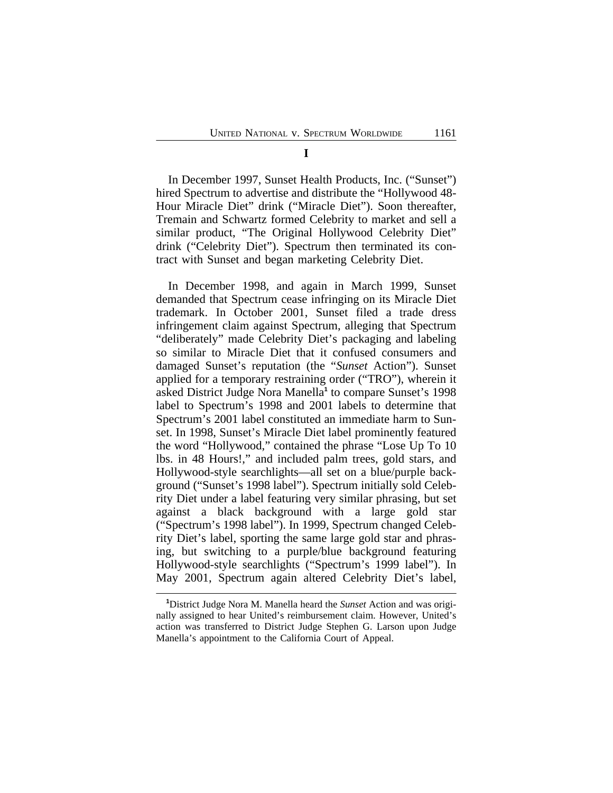In December 1997, Sunset Health Products, Inc. ("Sunset") hired Spectrum to advertise and distribute the "Hollywood 48- Hour Miracle Diet" drink ("Miracle Diet"). Soon thereafter, Tremain and Schwartz formed Celebrity to market and sell a similar product, "The Original Hollywood Celebrity Diet" drink ("Celebrity Diet"). Spectrum then terminated its contract with Sunset and began marketing Celebrity Diet.

In December 1998, and again in March 1999, Sunset demanded that Spectrum cease infringing on its Miracle Diet trademark. In October 2001, Sunset filed a trade dress infringement claim against Spectrum, alleging that Spectrum "deliberately" made Celebrity Diet's packaging and labeling so similar to Miracle Diet that it confused consumers and damaged Sunset's reputation (the "*Sunset* Action"). Sunset applied for a temporary restraining order ("TRO"), wherein it asked District Judge Nora Manella**<sup>1</sup>** to compare Sunset's 1998 label to Spectrum's 1998 and 2001 labels to determine that Spectrum's 2001 label constituted an immediate harm to Sunset. In 1998, Sunset's Miracle Diet label prominently featured the word "Hollywood," contained the phrase "Lose Up To 10 lbs. in 48 Hours!," and included palm trees, gold stars, and Hollywood-style searchlights—all set on a blue/purple background ("Sunset's 1998 label"). Spectrum initially sold Celebrity Diet under a label featuring very similar phrasing, but set against a black background with a large gold star ("Spectrum's 1998 label"). In 1999, Spectrum changed Celebrity Diet's label, sporting the same large gold star and phrasing, but switching to a purple/blue background featuring Hollywood-style searchlights ("Spectrum's 1999 label"). In May 2001, Spectrum again altered Celebrity Diet's label,

**<sup>1</sup>**District Judge Nora M. Manella heard the *Sunset* Action and was originally assigned to hear United's reimbursement claim. However, United's action was transferred to District Judge Stephen G. Larson upon Judge Manella's appointment to the California Court of Appeal.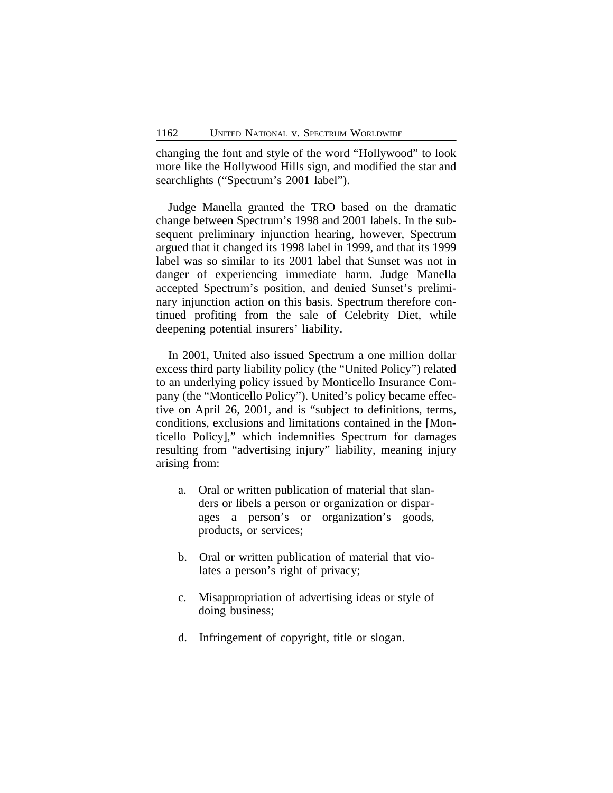changing the font and style of the word "Hollywood" to look more like the Hollywood Hills sign, and modified the star and searchlights ("Spectrum's 2001 label").

Judge Manella granted the TRO based on the dramatic change between Spectrum's 1998 and 2001 labels. In the subsequent preliminary injunction hearing, however, Spectrum argued that it changed its 1998 label in 1999, and that its 1999 label was so similar to its 2001 label that Sunset was not in danger of experiencing immediate harm. Judge Manella accepted Spectrum's position, and denied Sunset's preliminary injunction action on this basis. Spectrum therefore continued profiting from the sale of Celebrity Diet, while deepening potential insurers' liability.

In 2001, United also issued Spectrum a one million dollar excess third party liability policy (the "United Policy") related to an underlying policy issued by Monticello Insurance Company (the "Monticello Policy"). United's policy became effective on April 26, 2001, and is "subject to definitions, terms, conditions, exclusions and limitations contained in the [Monticello Policy]," which indemnifies Spectrum for damages resulting from "advertising injury" liability, meaning injury arising from:

- a. Oral or written publication of material that slanders or libels a person or organization or disparages a person's or organization's goods, products, or services;
- b. Oral or written publication of material that violates a person's right of privacy;
- c. Misappropriation of advertising ideas or style of doing business;
- d. Infringement of copyright, title or slogan.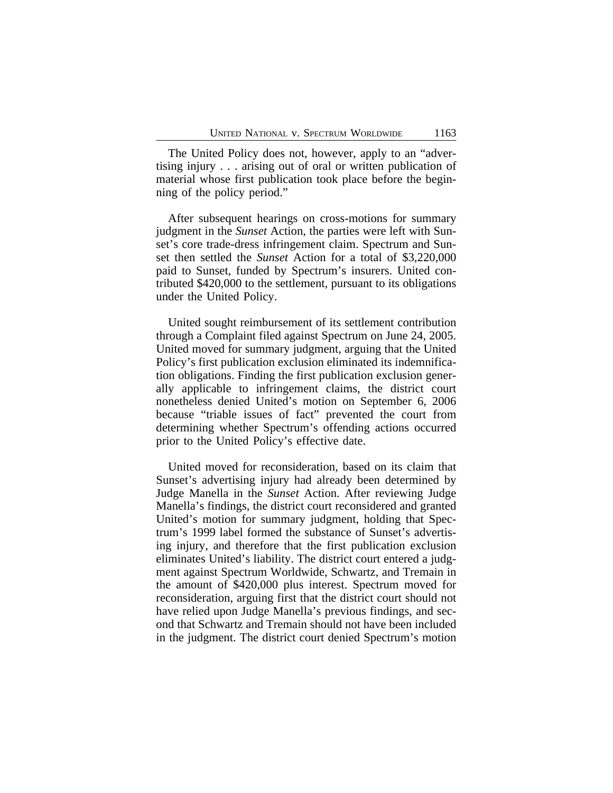The United Policy does not, however, apply to an "advertising injury . . . arising out of oral or written publication of material whose first publication took place before the beginning of the policy period."

After subsequent hearings on cross-motions for summary judgment in the *Sunset* Action, the parties were left with Sunset's core trade-dress infringement claim. Spectrum and Sunset then settled the *Sunset* Action for a total of \$3,220,000 paid to Sunset, funded by Spectrum's insurers. United contributed \$420,000 to the settlement, pursuant to its obligations under the United Policy.

United sought reimbursement of its settlement contribution through a Complaint filed against Spectrum on June 24, 2005. United moved for summary judgment, arguing that the United Policy's first publication exclusion eliminated its indemnification obligations. Finding the first publication exclusion generally applicable to infringement claims, the district court nonetheless denied United's motion on September 6, 2006 because "triable issues of fact" prevented the court from determining whether Spectrum's offending actions occurred prior to the United Policy's effective date.

United moved for reconsideration, based on its claim that Sunset's advertising injury had already been determined by Judge Manella in the *Sunset* Action. After reviewing Judge Manella's findings, the district court reconsidered and granted United's motion for summary judgment, holding that Spectrum's 1999 label formed the substance of Sunset's advertising injury, and therefore that the first publication exclusion eliminates United's liability. The district court entered a judgment against Spectrum Worldwide, Schwartz, and Tremain in the amount of \$420,000 plus interest. Spectrum moved for reconsideration, arguing first that the district court should not have relied upon Judge Manella's previous findings, and second that Schwartz and Tremain should not have been included in the judgment. The district court denied Spectrum's motion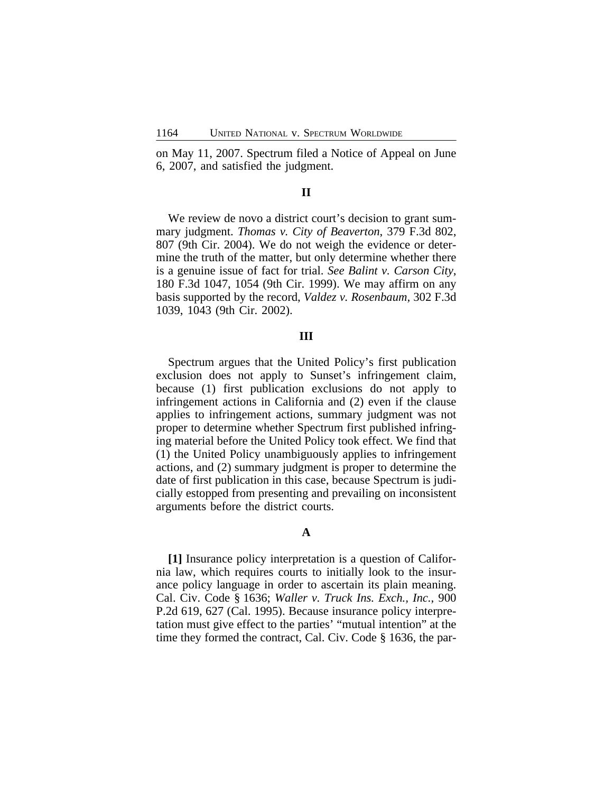on May 11, 2007. Spectrum filed a Notice of Appeal on June 6, 2007, and satisfied the judgment.

# **II**

We review de novo a district court's decision to grant summary judgment. *Thomas v. City of Beaverton*, 379 F.3d 802, 807 (9th Cir. 2004). We do not weigh the evidence or determine the truth of the matter, but only determine whether there is a genuine issue of fact for trial. *See Balint v. Carson City*, 180 F.3d 1047, 1054 (9th Cir. 1999). We may affirm on any basis supported by the record, *Valdez v. Rosenbaum,* 302 F.3d 1039, 1043 (9th Cir. 2002).

## **III**

Spectrum argues that the United Policy's first publication exclusion does not apply to Sunset's infringement claim, because (1) first publication exclusions do not apply to infringement actions in California and (2) even if the clause applies to infringement actions, summary judgment was not proper to determine whether Spectrum first published infringing material before the United Policy took effect. We find that (1) the United Policy unambiguously applies to infringement actions, and (2) summary judgment is proper to determine the date of first publication in this case, because Spectrum is judicially estopped from presenting and prevailing on inconsistent arguments before the district courts.

## **A**

**[1]** Insurance policy interpretation is a question of California law, which requires courts to initially look to the insurance policy language in order to ascertain its plain meaning. Cal. Civ. Code § 1636; *Waller v. Truck Ins. Exch., Inc.*, 900 P.2d 619, 627 (Cal. 1995). Because insurance policy interpretation must give effect to the parties' "mutual intention" at the time they formed the contract, Cal. Civ. Code § 1636, the par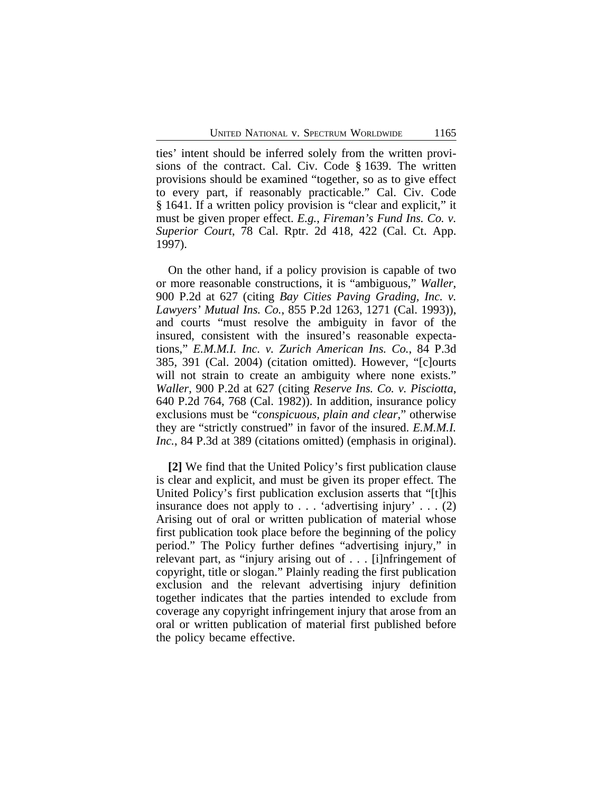ties' intent should be inferred solely from the written provisions of the contract. Cal. Civ. Code § 1639. The written provisions should be examined "together, so as to give effect to every part, if reasonably practicable." Cal. Civ. Code § 1641. If a written policy provision is "clear and explicit," it must be given proper effect. *E.g.*, *Fireman's Fund Ins. Co. v. Superior Court*, 78 Cal. Rptr. 2d 418, 422 (Cal. Ct. App. 1997).

On the other hand, if a policy provision is capable of two or more reasonable constructions, it is "ambiguous," *Waller*, 900 P.2d at 627 (citing *Bay Cities Paving Grading, Inc. v. Lawyers' Mutual Ins. Co.*, 855 P.2d 1263, 1271 (Cal. 1993)), and courts "must resolve the ambiguity in favor of the insured, consistent with the insured's reasonable expectations," *E.M.M.I. Inc. v. Zurich American Ins. Co.*, 84 P.3d 385, 391 (Cal. 2004) (citation omitted). However, "[c]ourts will not strain to create an ambiguity where none exists." *Waller*, 900 P.2d at 627 (citing *Reserve Ins. Co. v. Pisciotta*, 640 P.2d 764, 768 (Cal. 1982)). In addition, insurance policy exclusions must be "*conspicuous, plain and clear*," otherwise they are "strictly construed" in favor of the insured. *E.M.M.I. Inc.*, 84 P.3d at 389 (citations omitted) (emphasis in original).

**[2]** We find that the United Policy's first publication clause is clear and explicit, and must be given its proper effect. The United Policy's first publication exclusion asserts that "[t]his insurance does not apply to . . . 'advertising injury' . . . (2) Arising out of oral or written publication of material whose first publication took place before the beginning of the policy period." The Policy further defines "advertising injury," in relevant part, as "injury arising out of . . . [i]nfringement of copyright, title or slogan." Plainly reading the first publication exclusion and the relevant advertising injury definition together indicates that the parties intended to exclude from coverage any copyright infringement injury that arose from an oral or written publication of material first published before the policy became effective.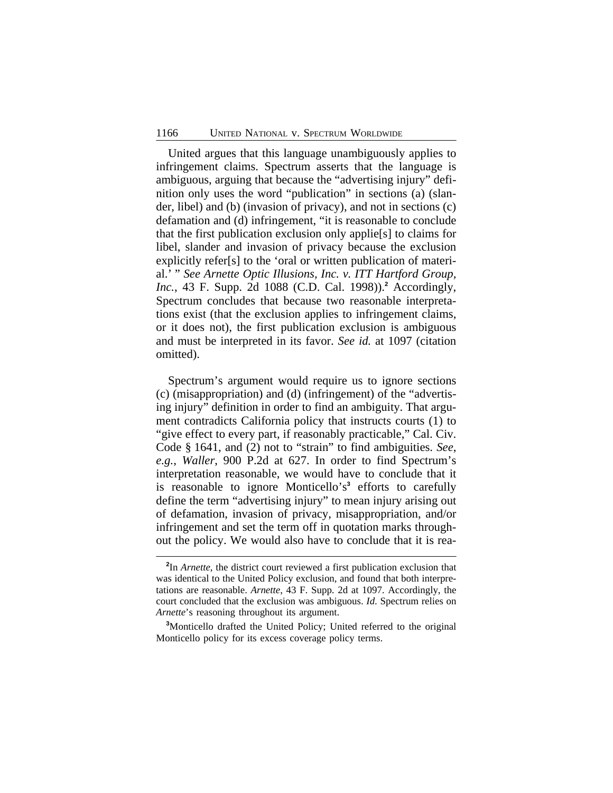United argues that this language unambiguously applies to infringement claims. Spectrum asserts that the language is ambiguous, arguing that because the "advertising injury" definition only uses the word "publication" in sections (a) (slander, libel) and (b) (invasion of privacy), and not in sections (c) defamation and (d) infringement, "it is reasonable to conclude that the first publication exclusion only applie[s] to claims for libel, slander and invasion of privacy because the exclusion explicitly refer[s] to the 'oral or written publication of material.' " *See Arnette Optic Illusions, Inc. v. ITT Hartford Group, Inc.*, 43 F. Supp. 2d 1088 (C.D. Cal. 1998)).**<sup>2</sup>** Accordingly, Spectrum concludes that because two reasonable interpretations exist (that the exclusion applies to infringement claims, or it does not), the first publication exclusion is ambiguous and must be interpreted in its favor. *See id.* at 1097 (citation omitted).

Spectrum's argument would require us to ignore sections (c) (misappropriation) and (d) (infringement) of the "advertising injury" definition in order to find an ambiguity. That argument contradicts California policy that instructs courts (1) to "give effect to every part, if reasonably practicable," Cal. Civ. Code § 1641, and (2) not to "strain" to find ambiguities. *See*, *e.g.*, *Waller*, 900 P.2d at 627. In order to find Spectrum's interpretation reasonable, we would have to conclude that it is reasonable to ignore Monticello's**<sup>3</sup>** efforts to carefully define the term "advertising injury" to mean injury arising out of defamation, invasion of privacy, misappropriation, and/or infringement and set the term off in quotation marks throughout the policy. We would also have to conclude that it is rea-

**<sup>2</sup>** In *Arnette*, the district court reviewed a first publication exclusion that was identical to the United Policy exclusion, and found that both interpretations are reasonable. *Arnette*, 43 F. Supp. 2d at 1097. Accordingly, the court concluded that the exclusion was ambiguous. *Id*. Spectrum relies on *Arnette*'s reasoning throughout its argument.

**<sup>3</sup>**Monticello drafted the United Policy; United referred to the original Monticello policy for its excess coverage policy terms.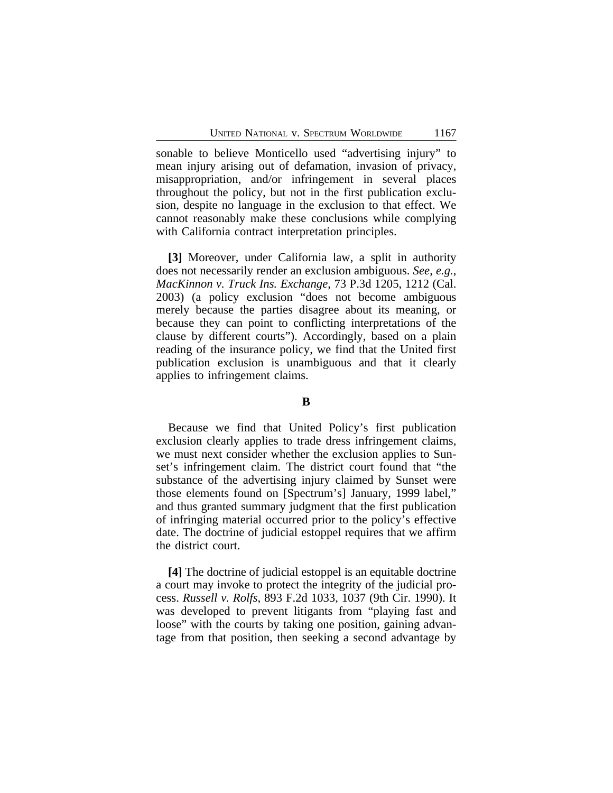sonable to believe Monticello used "advertising injury" to mean injury arising out of defamation, invasion of privacy, misappropriation, and/or infringement in several places throughout the policy, but not in the first publication exclusion, despite no language in the exclusion to that effect. We cannot reasonably make these conclusions while complying with California contract interpretation principles.

**[3]** Moreover, under California law, a split in authority does not necessarily render an exclusion ambiguous. *See*, *e.g.*, *MacKinnon v. Truck Ins. Exchange*, 73 P.3d 1205, 1212 (Cal. 2003) (a policy exclusion "does not become ambiguous merely because the parties disagree about its meaning, or because they can point to conflicting interpretations of the clause by different courts"). Accordingly, based on a plain reading of the insurance policy, we find that the United first publication exclusion is unambiguous and that it clearly applies to infringement claims.

## **B**

Because we find that United Policy's first publication exclusion clearly applies to trade dress infringement claims, we must next consider whether the exclusion applies to Sunset's infringement claim. The district court found that "the substance of the advertising injury claimed by Sunset were those elements found on [Spectrum's] January, 1999 label," and thus granted summary judgment that the first publication of infringing material occurred prior to the policy's effective date. The doctrine of judicial estoppel requires that we affirm the district court.

**[4]** The doctrine of judicial estoppel is an equitable doctrine a court may invoke to protect the integrity of the judicial process. *Russell v. Rolfs*, 893 F.2d 1033, 1037 (9th Cir. 1990). It was developed to prevent litigants from "playing fast and loose" with the courts by taking one position, gaining advantage from that position, then seeking a second advantage by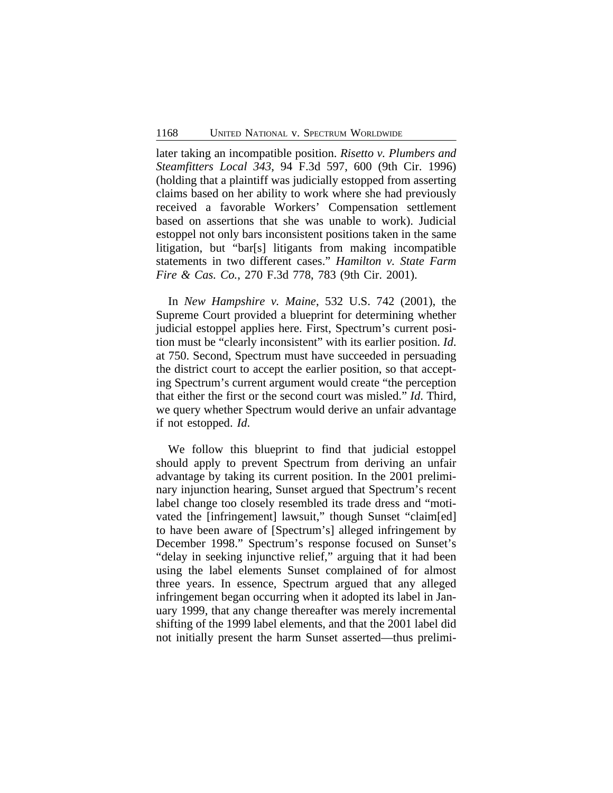later taking an incompatible position. *Risetto v. Plumbers and Steamfitters Local 343*, 94 F.3d 597, 600 (9th Cir. 1996) (holding that a plaintiff was judicially estopped from asserting claims based on her ability to work where she had previously received a favorable Workers' Compensation settlement based on assertions that she was unable to work). Judicial estoppel not only bars inconsistent positions taken in the same litigation, but "bar[s] litigants from making incompatible statements in two different cases." *Hamilton v. State Farm Fire & Cas. Co.*, 270 F.3d 778, 783 (9th Cir. 2001).

In *New Hampshire v. Maine*, 532 U.S. 742 (2001), the Supreme Court provided a blueprint for determining whether judicial estoppel applies here. First, Spectrum's current position must be "clearly inconsistent" with its earlier position. *Id*. at 750. Second, Spectrum must have succeeded in persuading the district court to accept the earlier position, so that accepting Spectrum's current argument would create "the perception that either the first or the second court was misled." *Id*. Third, we query whether Spectrum would derive an unfair advantage if not estopped. *Id*.

We follow this blueprint to find that judicial estoppel should apply to prevent Spectrum from deriving an unfair advantage by taking its current position. In the 2001 preliminary injunction hearing, Sunset argued that Spectrum's recent label change too closely resembled its trade dress and "motivated the [infringement] lawsuit," though Sunset "claim[ed] to have been aware of [Spectrum's] alleged infringement by December 1998." Spectrum's response focused on Sunset's "delay in seeking injunctive relief," arguing that it had been using the label elements Sunset complained of for almost three years. In essence, Spectrum argued that any alleged infringement began occurring when it adopted its label in January 1999, that any change thereafter was merely incremental shifting of the 1999 label elements, and that the 2001 label did not initially present the harm Sunset asserted—thus prelimi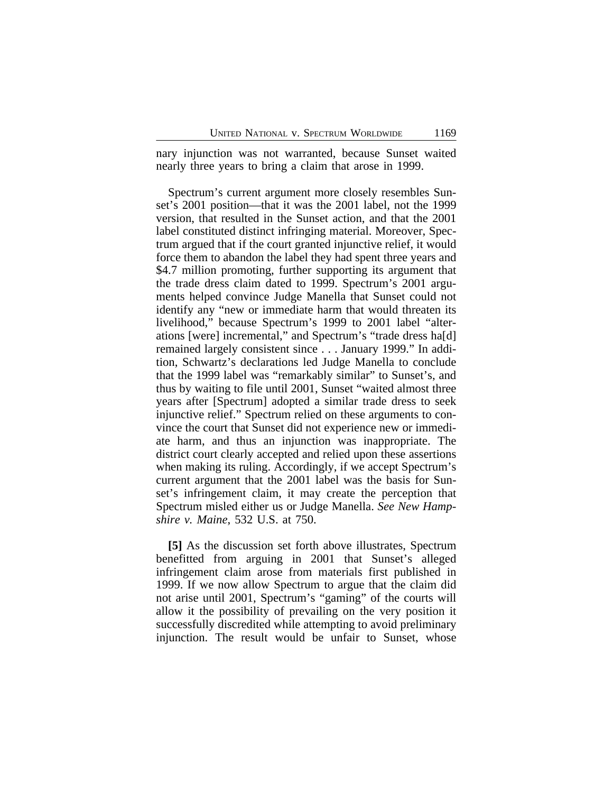nary injunction was not warranted, because Sunset waited nearly three years to bring a claim that arose in 1999.

Spectrum's current argument more closely resembles Sunset's 2001 position—that it was the 2001 label, not the 1999 version, that resulted in the Sunset action, and that the 2001 label constituted distinct infringing material. Moreover, Spectrum argued that if the court granted injunctive relief, it would force them to abandon the label they had spent three years and \$4.7 million promoting, further supporting its argument that the trade dress claim dated to 1999. Spectrum's 2001 arguments helped convince Judge Manella that Sunset could not identify any "new or immediate harm that would threaten its livelihood," because Spectrum's 1999 to 2001 label "alterations [were] incremental," and Spectrum's "trade dress ha[d] remained largely consistent since . . . January 1999." In addition, Schwartz's declarations led Judge Manella to conclude that the 1999 label was "remarkably similar" to Sunset's, and thus by waiting to file until 2001, Sunset "waited almost three years after [Spectrum] adopted a similar trade dress to seek injunctive relief." Spectrum relied on these arguments to convince the court that Sunset did not experience new or immediate harm, and thus an injunction was inappropriate. The district court clearly accepted and relied upon these assertions when making its ruling. Accordingly, if we accept Spectrum's current argument that the 2001 label was the basis for Sunset's infringement claim, it may create the perception that Spectrum misled either us or Judge Manella. *See New Hampshire v. Maine*, 532 U.S. at 750.

**[5]** As the discussion set forth above illustrates, Spectrum benefitted from arguing in 2001 that Sunset's alleged infringement claim arose from materials first published in 1999. If we now allow Spectrum to argue that the claim did not arise until 2001, Spectrum's "gaming" of the courts will allow it the possibility of prevailing on the very position it successfully discredited while attempting to avoid preliminary injunction. The result would be unfair to Sunset, whose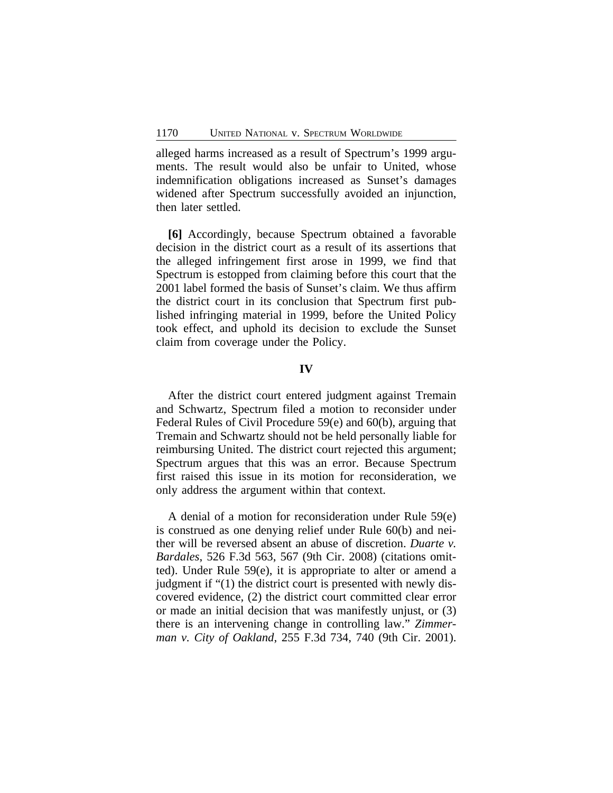alleged harms increased as a result of Spectrum's 1999 arguments. The result would also be unfair to United, whose indemnification obligations increased as Sunset's damages widened after Spectrum successfully avoided an injunction, then later settled.

**[6]** Accordingly, because Spectrum obtained a favorable decision in the district court as a result of its assertions that the alleged infringement first arose in 1999, we find that Spectrum is estopped from claiming before this court that the 2001 label formed the basis of Sunset's claim. We thus affirm the district court in its conclusion that Spectrum first published infringing material in 1999, before the United Policy took effect, and uphold its decision to exclude the Sunset claim from coverage under the Policy.

## **IV**

After the district court entered judgment against Tremain and Schwartz, Spectrum filed a motion to reconsider under Federal Rules of Civil Procedure 59(e) and 60(b), arguing that Tremain and Schwartz should not be held personally liable for reimbursing United. The district court rejected this argument; Spectrum argues that this was an error. Because Spectrum first raised this issue in its motion for reconsideration, we only address the argument within that context.

A denial of a motion for reconsideration under Rule 59(e) is construed as one denying relief under Rule 60(b) and neither will be reversed absent an abuse of discretion. *Duarte v. Bardales*, 526 F.3d 563, 567 (9th Cir. 2008) (citations omitted). Under Rule 59(e), it is appropriate to alter or amend a judgment if "(1) the district court is presented with newly discovered evidence, (2) the district court committed clear error or made an initial decision that was manifestly unjust, or (3) there is an intervening change in controlling law." *Zimmerman v. City of Oakland*, 255 F.3d 734, 740 (9th Cir. 2001).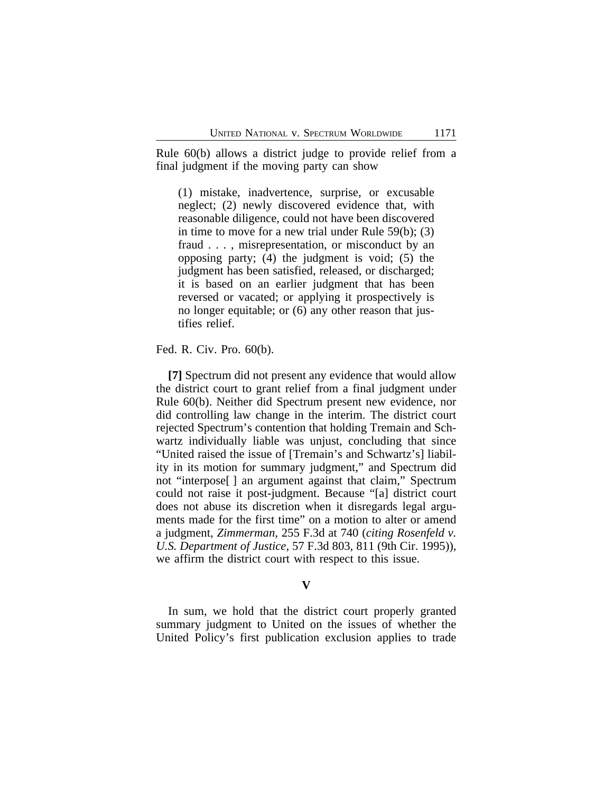Rule 60(b) allows a district judge to provide relief from a final judgment if the moving party can show

(1) mistake, inadvertence, surprise, or excusable neglect; (2) newly discovered evidence that, with reasonable diligence, could not have been discovered in time to move for a new trial under Rule 59(b); (3) fraud . . . , misrepresentation, or misconduct by an opposing party; (4) the judgment is void; (5) the judgment has been satisfied, released, or discharged; it is based on an earlier judgment that has been reversed or vacated; or applying it prospectively is no longer equitable; or (6) any other reason that justifies relief.

Fed. R. Civ. Pro. 60(b).

**[7]** Spectrum did not present any evidence that would allow the district court to grant relief from a final judgment under Rule 60(b). Neither did Spectrum present new evidence, nor did controlling law change in the interim. The district court rejected Spectrum's contention that holding Tremain and Schwartz individually liable was unjust, concluding that since "United raised the issue of [Tremain's and Schwartz's] liability in its motion for summary judgment," and Spectrum did not "interpose[ ] an argument against that claim," Spectrum could not raise it post-judgment. Because "[a] district court does not abuse its discretion when it disregards legal arguments made for the first time" on a motion to alter or amend a judgment, *Zimmerman*, 255 F.3d at 740 (*citing Rosenfeld v. U.S. Department of Justice*, 57 F.3d 803, 811 (9th Cir. 1995)), we affirm the district court with respect to this issue.

## **V**

In sum, we hold that the district court properly granted summary judgment to United on the issues of whether the United Policy's first publication exclusion applies to trade